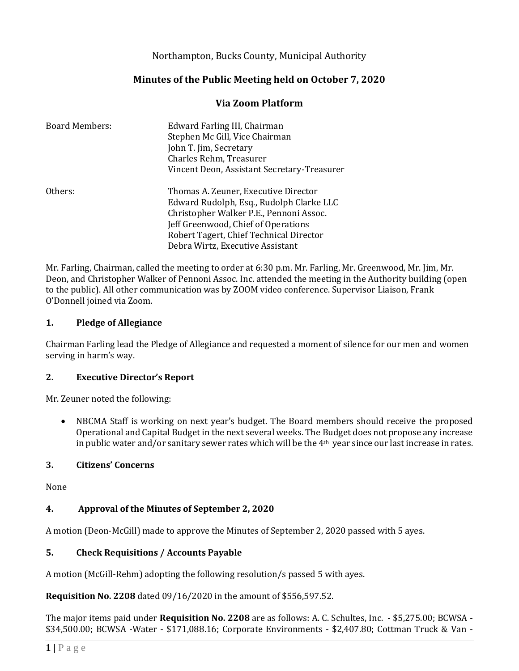### Northampton, Bucks County, Municipal Authority

# **Minutes of the Public Meeting held on October 7, 2020**

### **Via Zoom Platform**

| <b>Board Members:</b> | Edward Farling III, Chairman<br>Stephen Mc Gill, Vice Chairman<br>John T. Jim, Secretary<br>Charles Rehm, Treasurer<br>Vincent Deon, Assistant Secretary-Treasurer                                                                                |
|-----------------------|---------------------------------------------------------------------------------------------------------------------------------------------------------------------------------------------------------------------------------------------------|
| Others:               | Thomas A. Zeuner, Executive Director<br>Edward Rudolph, Esq., Rudolph Clarke LLC<br>Christopher Walker P.E., Pennoni Assoc.<br>Jeff Greenwood, Chief of Operations<br>Robert Tagert, Chief Technical Director<br>Debra Wirtz, Executive Assistant |

Mr. Farling, Chairman, called the meeting to order at 6:30 p.m. Mr. Farling, Mr. Greenwood, Mr. Jim, Mr. Deon, and Christopher Walker of Pennoni Assoc. Inc. attended the meeting in the Authority building (open to the public). All other communication was by ZOOM video conference. Supervisor Liaison, Frank O'Donnell joined via Zoom.

#### **1. Pledge of Allegiance**

Chairman Farling lead the Pledge of Allegiance and requested a moment of silence for our men and women serving in harm's way.

#### **2. Executive Director's Report**

Mr. Zeuner noted the following:

• NBCMA Staff is working on next year's budget. The Board members should receive the proposed Operational and Capital Budget in the next several weeks. The Budget does not propose any increase in public water and/or sanitary sewer rates which will be the 4th year since our last increase in rates.

### **3. Citizens' Concerns**

None

### **4. Approval of the Minutes of September 2, 2020**

A motion (Deon-McGill) made to approve the Minutes of September 2, 2020 passed with 5 ayes.

### **5. Check Requisitions / Accounts Payable**

A motion (McGill-Rehm) adopting the following resolution/s passed 5 with ayes.

**Requisition No. 2208** dated 09/16/2020 in the amount of \$556,597.52.

The major items paid under **Requisition No. 2208** are as follows: A. C. Schultes, Inc. - \$5,275.00; BCWSA - \$34,500.00; BCWSA -Water - \$171,088.16; Corporate Environments - \$2,407.80; Cottman Truck & Van -